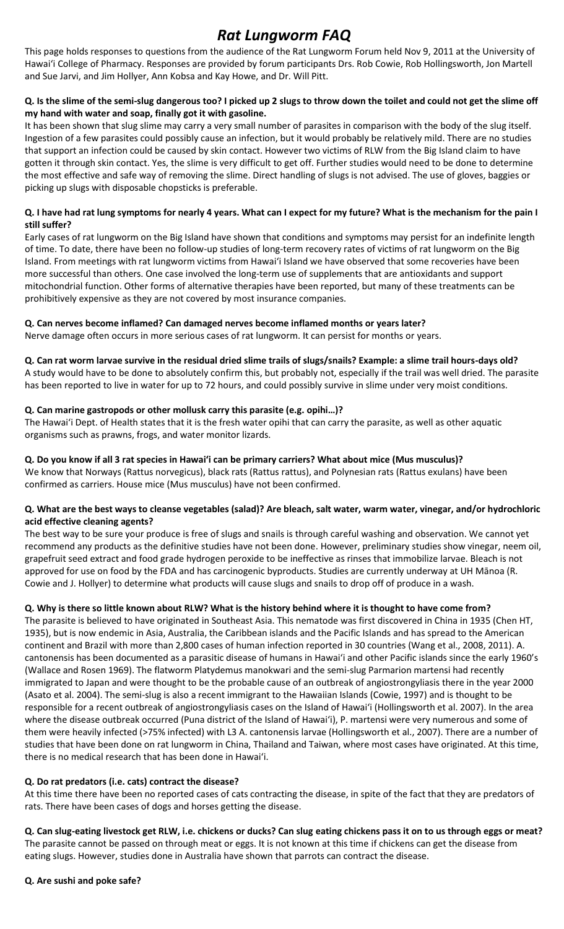# *Rat Lungworm FAQ*

This page holds responses to questions from the audience of the Rat Lungworm Forum held Nov 9, 2011 at the University of Hawaiʻi College of Pharmacy. Responses are provided by forum participants Drs. Rob Cowie, Rob Hollingsworth, Jon Martell and Sue Jarvi, and Jim Hollyer, Ann Kobsa and Kay Howe, and Dr. Will Pitt.

#### **Q. Is the slime of the semi-slug dangerous too? I picked up 2 slugs to throw down the toilet and could not get the slime off my hand with water and soap, finally got it with gasoline.**

It has been shown that slug slime may carry a very small number of parasites in comparison with the body of the slug itself. Ingestion of a few parasites could possibly cause an infection, but it would probably be relatively mild. There are no studies that support an infection could be caused by skin contact. However two victims of RLW from the Big Island claim to have gotten it through skin contact. Yes, the slime is very difficult to get off. Further studies would need to be done to determine the most effective and safe way of removing the slime. Direct handling of slugs is not advised. The use of gloves, baggies or picking up slugs with disposable chopsticks is preferable.

#### **Q. I have had rat lung symptoms for nearly 4 years. What can I expect for my future? What is the mechanism for the pain I still suffer?**

Early cases of rat lungworm on the Big Island have shown that conditions and symptoms may persist for an indefinite length of time. To date, there have been no follow-up studies of long-term recovery rates of victims of rat lungworm on the Big Island. From meetings with rat lungworm victims from Hawaiʻi Island we have observed that some recoveries have been more successful than others. One case involved the long-term use of supplements that are antioxidants and support mitochondrial function. Other forms of alternative therapies have been reported, but many of these treatments can be prohibitively expensive as they are not covered by most insurance companies.

## **Q. Can nerves become inflamed? Can damaged nerves become inflamed months or years later?**

Nerve damage often occurs in more serious cases of rat lungworm. It can persist for months or years.

#### **Q. Can rat worm larvae survive in the residual dried slime trails of slugs/snails? Example: a slime trail hours-days old?**

A study would have to be done to absolutely confirm this, but probably not, especially if the trail was well dried. The parasite has been reported to live in water for up to 72 hours, and could possibly survive in slime under very moist conditions.

## **Q. Can marine gastropods or other mollusk carry this parasite (e.g. opihi…)?**

The Hawaiʻi Dept. of Health states that it is the fresh water opihi that can carry the parasite, as well as other aquatic organisms such as prawns, frogs, and water monitor lizards.

# **Q. Do you know if all 3 rat species in Hawaiʻi can be primary carriers? What about mice (Mus musculus)?**

We know that Norways (Rattus norvegicus), black rats (Rattus rattus), and Polynesian rats (Rattus exulans) have been confirmed as carriers. House mice (Mus musculus) have not been confirmed.

## **Q. What are the best ways to cleanse vegetables (salad)? Are bleach, salt water, warm water, vinegar, and/or hydrochloric acid effective cleaning agents?**

The best way to be sure your produce is free of slugs and snails is through careful washing and observation. We cannot yet recommend any products as the definitive studies have not been done. However, preliminary studies show vinegar, neem oil, grapefruit seed extract and food grade hydrogen peroxide to be ineffective as rinses that immobilize larvae. Bleach is not approved for use on food by the FDA and has carcinogenic byproducts. Studies are currently underway at UH Mānoa (R. Cowie and J. Hollyer) to determine what products will cause slugs and snails to drop off of produce in a wash.

# **Q. Why is there so little known about RLW? What is the history behind where it is thought to have come from?**

The parasite is believed to have originated in Southeast Asia. This nematode was first discovered in China in 1935 (Chen HT, 1935), but is now endemic in Asia, Australia, the Caribbean islands and the Pacific Islands and has spread to the American continent and Brazil with more than 2,800 cases of human infection reported in 30 countries (Wang et al., 2008, 2011). A. cantonensis has been documented as a parasitic disease of humans in Hawaiʻi and other Pacific islands since the early 1960's (Wallace and Rosen 1969). The flatworm Platydemus manokwari and the semi-slug Parmarion martensi had recently immigrated to Japan and were thought to be the probable cause of an outbreak of angiostrongyliasis there in the year 2000 (Asato et al. 2004). The semi-slug is also a recent immigrant to the Hawaiian Islands (Cowie, 1997) and is thought to be responsible for a recent outbreak of angiostrongyliasis cases on the Island of Hawaiʻi (Hollingsworth et al. 2007). In the area where the disease outbreak occurred (Puna district of the Island of Hawaiʻi), P. martensi were very numerous and some of them were heavily infected (>75% infected) with L3 A. cantonensis larvae (Hollingsworth et al., 2007). There are a number of studies that have been done on rat lungworm in China, Thailand and Taiwan, where most cases have originated. At this time, there is no medical research that has been done in Hawaiʻi.

# **Q. Do rat predators (i.e. cats) contract the disease?**

At this time there have been no reported cases of cats contracting the disease, in spite of the fact that they are predators of rats. There have been cases of dogs and horses getting the disease.

**Q. Can slug-eating livestock get RLW, i.e. chickens or ducks? Can slug eating chickens pass it on to us through eggs or meat?** The parasite cannot be passed on through meat or eggs. It is not known at this time if chickens can get the disease from eating slugs. However, studies done in Australia have shown that parrots can contract the disease.